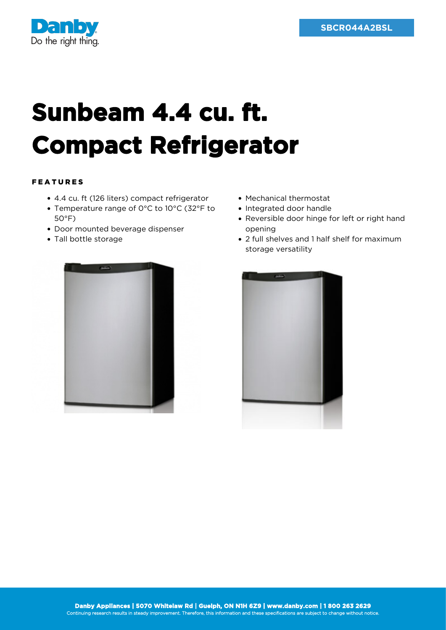

## **Sunbeam 4.4 cu. ft. Compact Refrigerator**

## FEATURES

- 4.4 cu. ft (126 liters) compact refrigerator
- Temperature range of 0°C to 10°C (32°F to 50°F)
- Door mounted beverage dispenser
- Tall bottle storage



- Mechanical thermostat
- Integrated door handle
- Reversible door hinge for left or right hand opening
- 2 full shelves and 1 half shelf for maximum storage versatility